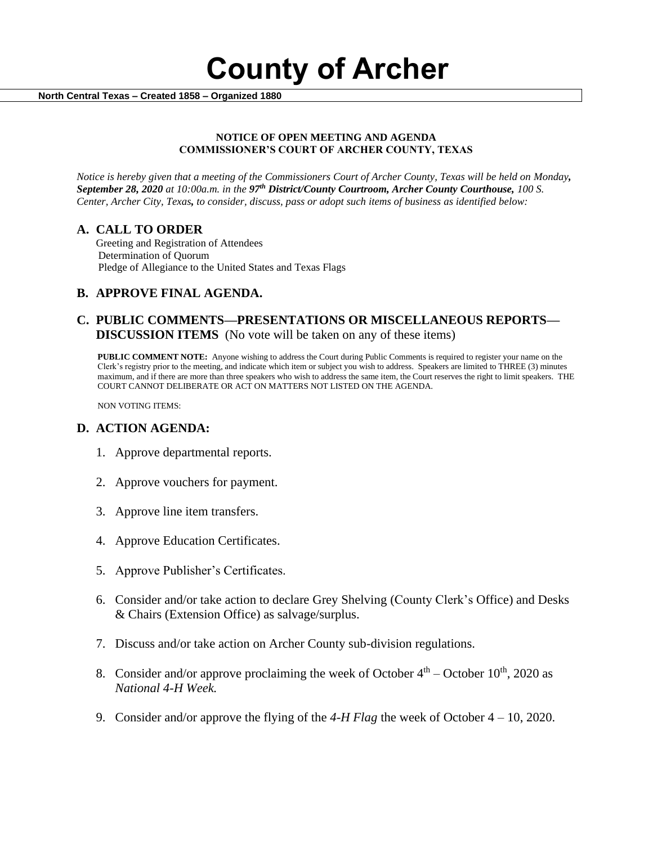**County of Archer** 

 **North Central Texas – Created 1858 – Organized 1880**

## **NOTICE OF OPEN MEETING AND AGENDA COMMISSIONER'S COURT OF ARCHER COUNTY, TEXAS**

*Notice is hereby given that a meeting of the Commissioners Court of Archer County, Texas will be held on Monday, September 28, 2020 at 10:00a.m. in the 97th District/County Courtroom, Archer County Courthouse, 100 S. Center, Archer City, Texas, to consider, discuss, pass or adopt such items of business as identified below:*

# **A. CALL TO ORDER**

 Greeting and Registration of Attendees Determination of Quorum Pledge of Allegiance to the United States and Texas Flags

# **B. APPROVE FINAL AGENDA.**

# **C. PUBLIC COMMENTS—PRESENTATIONS OR MISCELLANEOUS REPORTS— DISCUSSION ITEMS** (No vote will be taken on any of these items)

**PUBLIC COMMENT NOTE:** Anyone wishing to address the Court during Public Comments is required to register your name on the Clerk's registry prior to the meeting, and indicate which item or subject you wish to address. Speakers are limited to THREE (3) minutes maximum, and if there are more than three speakers who wish to address the same item, the Court reserves the right to limit speakers. THE COURT CANNOT DELIBERATE OR ACT ON MATTERS NOT LISTED ON THE AGENDA.

NON VOTING ITEMS:

# **D. ACTION AGENDA:**

- 1. Approve departmental reports.
- 2. Approve vouchers for payment.
- 3. Approve line item transfers.
- 4. Approve Education Certificates.
- 5. Approve Publisher's Certificates.
- 6. Consider and/or take action to declare Grey Shelving (County Clerk's Office) and Desks & Chairs (Extension Office) as salvage/surplus.
- 7. Discuss and/or take action on Archer County sub-division regulations.
- 8. Consider and/or approve proclaiming the week of October  $4<sup>th</sup>$  October  $10<sup>th</sup>$ , 2020 as *National 4-H Week.*
- 9. Consider and/or approve the flying of the *4-H Flag* the week of October 4 10, 2020.